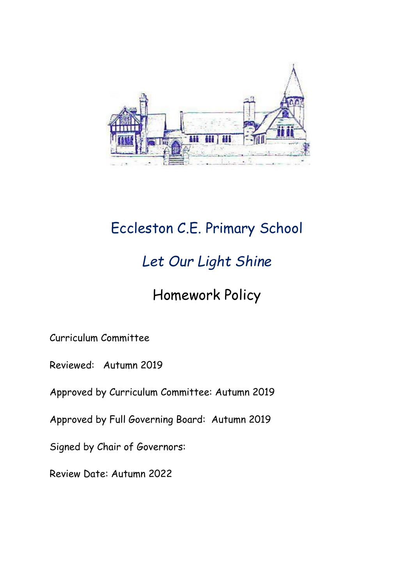

# Eccleston C.E. Primary School

# *Let Our Light Shine*

## Homework Policy

Curriculum Committee

Reviewed: Autumn 2019

Approved by Curriculum Committee: Autumn 2019

Approved by Full Governing Board: Autumn 2019

Signed by Chair of Governors:

Review Date: Autumn 2022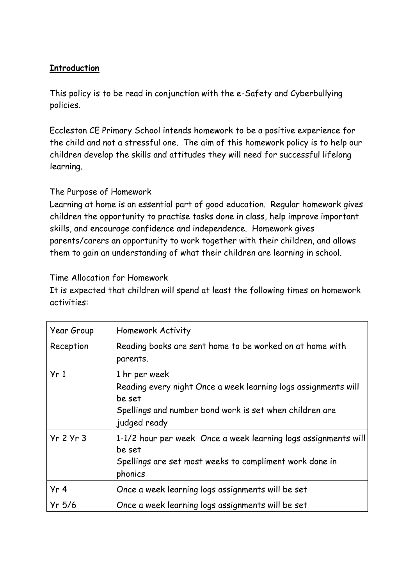## **Introduction**

This policy is to be read in conjunction with the e-Safety and Cyberbullying policies.

Eccleston CE Primary School intends homework to be a positive experience for the child and not a stressful one. The aim of this homework policy is to help our children develop the skills and attitudes they will need for successful lifelong learning.

## The Purpose of Homework

Learning at home is an essential part of good education. Regular homework gives children the opportunity to practise tasks done in class, help improve important skills, and encourage confidence and independence. Homework gives parents/carers an opportunity to work together with their children, and allows them to gain an understanding of what their children are learning in school.

## Time Allocation for Homework

It is expected that children will spend at least the following times on homework activities:

| Year Group      | <b>Homework Activity</b>                                                                                                                                             |
|-----------------|----------------------------------------------------------------------------------------------------------------------------------------------------------------------|
| Reception       | Reading books are sent home to be worked on at home with<br>parents.                                                                                                 |
| Yr1             | 1 hr per week<br>Reading every night Once a week learning logs assignments will<br>be set<br>Spellings and number bond work is set when children are<br>judged ready |
| $Yr$ 2 $Yr$ 3   | 1-1/2 hour per week Once a week learning logs assignments will<br>be set<br>Spellings are set most weeks to compliment work done in<br>phonics                       |
| Yr <sub>4</sub> | Once a week learning logs assignments will be set                                                                                                                    |
| $Yr$ 5/6        | Once a week learning logs assignments will be set                                                                                                                    |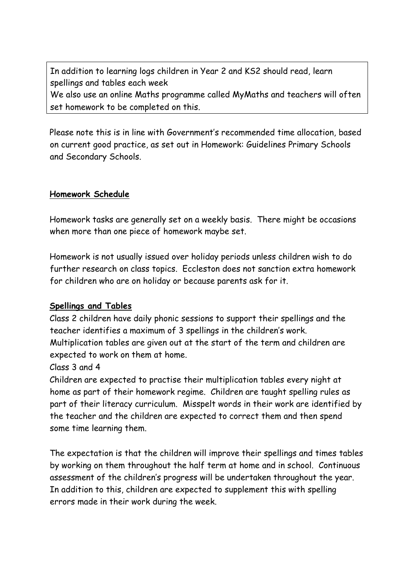In addition to learning logs children in Year 2 and KS2 should read, learn spellings and tables each week We also use an online Maths programme called MyMaths and teachers will often set homework to be completed on this.

Please note this is in line with Government's recommended time allocation, based on current good practice, as set out in Homework: Guidelines Primary Schools and Secondary Schools.

### **Homework Schedule**

Homework tasks are generally set on a weekly basis. There might be occasions when more than one piece of homework maybe set.

Homework is not usually issued over holiday periods unless children wish to do further research on class topics. Eccleston does not sanction extra homework for children who are on holiday or because parents ask for it.

#### **Spellings and Tables**

Class 2 children have daily phonic sessions to support their spellings and the teacher identifies a maximum of 3 spellings in the children's work. Multiplication tables are given out at the start of the term and children are expected to work on them at home.

### Class 3 and 4

Children are expected to practise their multiplication tables every night at home as part of their homework regime. Children are taught spelling rules as part of their literacy curriculum. Misspelt words in their work are identified by the teacher and the children are expected to correct them and then spend some time learning them.

The expectation is that the children will improve their spellings and times tables by working on them throughout the half term at home and in school. Continuous assessment of the children's progress will be undertaken throughout the year. In addition to this, children are expected to supplement this with spelling errors made in their work during the week.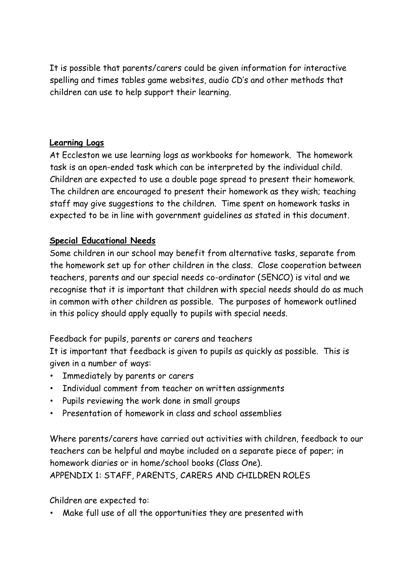It is possible that parents/carers could be given information for interactive spelling and times tables game websites, audio CD's and other methods that children can use to help support their learning.

### **Learning Logs**

At Eccleston we use learning logs as workbooks for homework. The homework task is an open-ended task which can be interpreted by the individual child. Children are expected to use a double page spread to present their homework. The children are encouraged to present their homework as they wish; teaching staff may give suggestions to the children. Time spent on homework tasks in expected to be in line with government guidelines as stated in this document.

## **Special Educational Needs**

Some children in our school may benefit from alternative tasks, separate from the homework set up for other children in the class. Close cooperation between teachers, parents and our special needs co-ordinator (SENCO) is vital and we recognise that it is important that children with special needs should do as much in common with other children as possible. The purposes of homework outlined in this policy should apply equally to pupils with special needs.

Feedback for pupils, parents or carers and teachers

It is important that feedback is given to pupils as quickly as possible. This is given in a number of ways:

- Immediately by parents or carers
- Individual comment from teacher on written assignments
- Pupils reviewing the work done in small groups
- Presentation of homework in class and school assemblies

Where parents/carers have carried out activities with children, feedback to our teachers can be helpful and maybe included on a separate piece of paper; in homework diaries or in home/school books (Class One). APPENDIX 1: STAFF, PARENTS, CARERS AND CHILDREN ROLES

Children are expected to:

• Make full use of all the opportunities they are presented with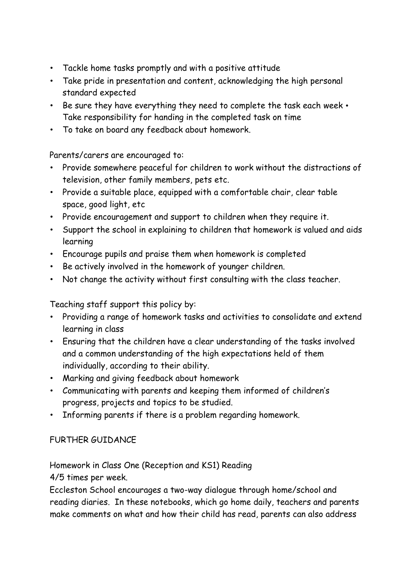- Tackle home tasks promptly and with a positive attitude
- Take pride in presentation and content, acknowledging the high personal standard expected
- Be sure they have everything they need to complete the task each week Take responsibility for handing in the completed task on time
- To take on board any feedback about homework.

Parents/carers are encouraged to:

- Provide somewhere peaceful for children to work without the distractions of television, other family members, pets etc.
- Provide a suitable place, equipped with a comfortable chair, clear table space, good light, etc
- Provide encouragement and support to children when they require it.
- Support the school in explaining to children that homework is valued and aids learning
- Encourage pupils and praise them when homework is completed
- Be actively involved in the homework of younger children.
- Not change the activity without first consulting with the class teacher.

Teaching staff support this policy by:

- Providing a range of homework tasks and activities to consolidate and extend learning in class
- Ensuring that the children have a clear understanding of the tasks involved and a common understanding of the high expectations held of them individually, according to their ability.
- Marking and giving feedback about homework
- Communicating with parents and keeping them informed of children's progress, projects and topics to be studied.
- Informing parents if there is a problem regarding homework.

## FURTHER GUIDANCE

Homework in Class One (Reception and KS1) Reading

4/5 times per week.

Eccleston School encourages a two-way dialogue through home/school and reading diaries. In these notebooks, which go home daily, teachers and parents make comments on what and how their child has read, parents can also address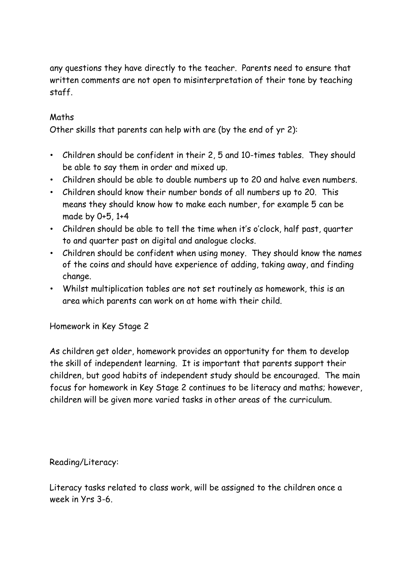any questions they have directly to the teacher. Parents need to ensure that written comments are not open to misinterpretation of their tone by teaching staff.

## Maths

Other skills that parents can help with are (by the end of yr 2):

- Children should be confident in their 2, 5 and 10-times tables. They should be able to say them in order and mixed up.
- Children should be able to double numbers up to 20 and halve even numbers.
- Children should know their number bonds of all numbers up to 20. This means they should know how to make each number, for example 5 can be made by 0+5, 1+4
- Children should be able to tell the time when it's o'clock, half past, quarter to and quarter past on digital and analogue clocks.
- Children should be confident when using money. They should know the names of the coins and should have experience of adding, taking away, and finding change.
- Whilst multiplication tables are not set routinely as homework, this is an area which parents can work on at home with their child.

Homework in Key Stage 2

As children get older, homework provides an opportunity for them to develop the skill of independent learning. It is important that parents support their children, but good habits of independent study should be encouraged. The main focus for homework in Key Stage 2 continues to be literacy and maths; however, children will be given more varied tasks in other areas of the curriculum.

Reading/Literacy:

Literacy tasks related to class work, will be assigned to the children once a week in Yrs 3-6.